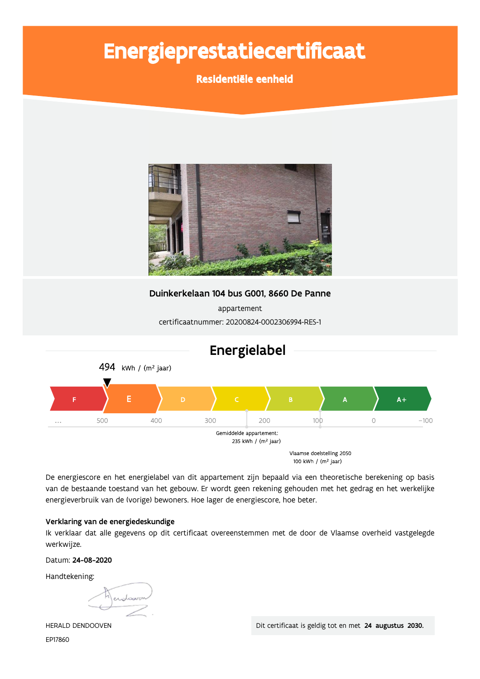# Energieprestatiecertificaat

Residentiële eenheid



Duinkerkelaan 104 bus G001, 8660 De Panne

appartement certificaatnummer: 20200824-0002306994-RES-1



De energiescore en het energielabel van dit appartement zijn bepaald via een theoretische berekening op basis van de bestaande toestand van het gebouw. Er wordt geen rekening gehouden met het gedrag en het werkelijke energieverbruik van de (vorige) bewoners. Hoe lager de energiescore, hoe beter.

# Verklaring van de energiedeskundige

Ik verklaar dat alle gegevens op dit certificaat overeenstemmen met de door de Vlaamse overheid vastgelegde werkwijze.

Datum: 24-08-2020

Handtekening:

endoaver

HERALD DENDOOVEN EP17860

Dit certificaat is geldig tot en met 24 augustus 2030.

# Energielabel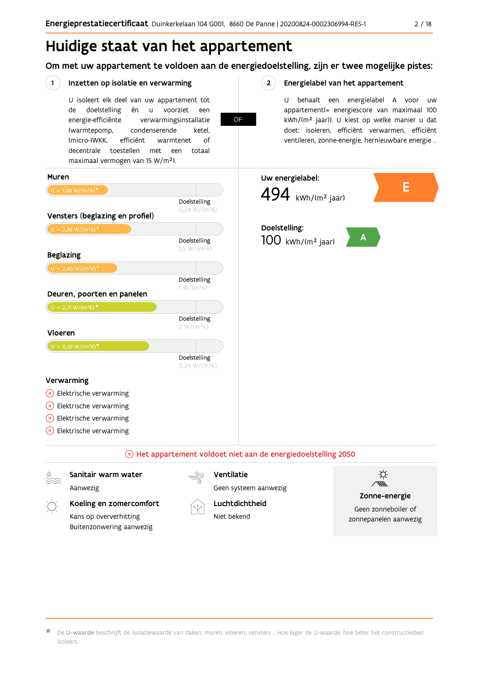# Huidige staat van het appartement

Om met uw appartement te voldoen aan de energiedoelstelling, zijn er twee mogelijke pistes:

OF

 $2^{\circ}$ 

#### $(1)$ Inzetten op isolatie en verwarming

U isoleert elk deel van uw appartement tot doelstelling voorziet de én  $\sf u$ een energie-efficiënte verwarmingsinstallatie (warmtepomp, condenserende ketel. (micro-)WKK. efficiënt warmtenet  $\bigcap_{ }$ decentrale toestellen met een totaal maximaal vermogen van 15 W/m<sup>2</sup>).

Energielabel van het appartement

U behaalt een energielabel A voor  $_{\text{IIW}}$ appartement(= energiescore van maximaal 100 kWh/(m<sup>2</sup> jaar)). U kiest op welke manier u dat doet: isoleren, efficiënt verwarmen, efficiënt ventileren, zonne-energie, hernieuwbare energie ...



### $\Diamond$  Het appartement voldoet niet aan de energiedoelstelling 2050

Sanitair warm water

Aanwezig

Koeling en zomercomfort Kans op oververhitting Buitenzonwering aanwezig



Ventilatie Geen systeem aanwezig

# Luchtdichtheid

Niet bekend



Zonne-energie

Geen zonneboiler of zonnepanelen aanwezig

De U-waarde beschrijft de isolatiewaarde van daken, muren, vloeren, vensters ... Hoe lager de U-waarde, hoe beter het constructiedeel isoleert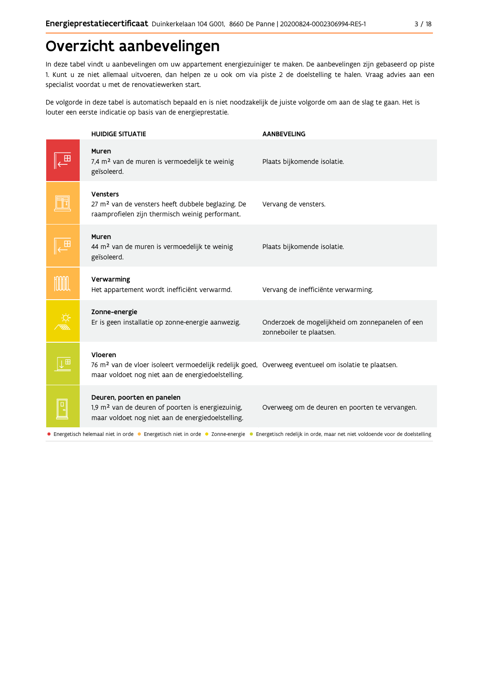# Overzicht aanbevelingen

In deze tabel vindt u aanbevelingen om uw appartement energiezuiniger te maken. De aanbevelingen zijn gebaseerd op piste 1. Kunt u ze niet allemaal uitvoeren, dan helpen ze u ook om via piste 2 de doelstelling te halen. Vraag advies aan een specialist voordat u met de renovatiewerken start.

De volgorde in deze tabel is automatisch bepaald en is niet noodzakelijk de juiste volgorde om aan de slag te gaan. Het is louter een eerste indicatie op basis van de energieprestatie.

| <b>HUIDIGE SITUATIE</b>                                                                                                                                                         | <b>AANBEVELING</b>                                                                                                                                          |
|---------------------------------------------------------------------------------------------------------------------------------------------------------------------------------|-------------------------------------------------------------------------------------------------------------------------------------------------------------|
| Muren<br>7,4 m <sup>2</sup> van de muren is vermoedelijk te weinig<br>geïsoleerd.                                                                                               | Plaats bijkomende isolatie.                                                                                                                                 |
| <b>Vensters</b><br>27 m <sup>2</sup> van de vensters heeft dubbele beglazing. De<br>raamprofielen zijn thermisch weinig performant.                                             | Vervang de vensters.                                                                                                                                        |
| Muren<br>44 m <sup>2</sup> van de muren is vermoedelijk te weinig<br>geïsoleerd.                                                                                                | Plaats bijkomende isolatie.                                                                                                                                 |
| Verwarming<br>Het appartement wordt inefficiënt verwarmd.                                                                                                                       | Vervang de inefficiënte verwarming.                                                                                                                         |
| Zonne-energie<br>Er is geen installatie op zonne-energie aanwezig.                                                                                                              | Onderzoek de mogelijkheid om zonnepanelen of een<br>zonneboiler te plaatsen.                                                                                |
| Vloeren<br>76 m <sup>2</sup> van de vloer isoleert vermoedelijk redelijk goed, Overweeg eventueel om isolatie te plaatsen.<br>maar voldoet nog niet aan de energiedoelstelling. |                                                                                                                                                             |
| Deuren, poorten en panelen<br>1,9 m <sup>2</sup> van de deuren of poorten is energiezuinig,<br>maar voldoet nog niet aan de energiedoelstelling.                                | Overweeg om de deuren en poorten te vervangen.                                                                                                              |
|                                                                                                                                                                                 | • Energetisch helemaal niet in orde • Energetisch niet in orde • Zonne-energie • Energetisch redelijk in orde, maar net niet voldoende voor de doelstelling |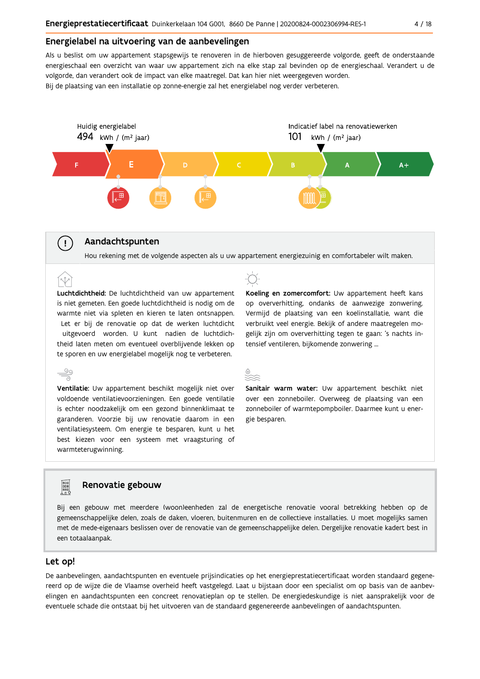# Energielabel na uitvoering van de aanbevelingen

Als u beslist om uw appartement stapsgewijs te renoveren in de hierboven gesuggereerde volgorde, geeft de onderstaande energieschaal een overzicht van waar uw appartement zich na elke stap zal bevinden op de energieschaal. Verandert u de volgorde, dan verandert ook de impact van elke maatregel. Dat kan hier niet weergegeven worden. Bij de plaatsing van een installatie op zonne-energie zal het energielabel nog verder verbeteren.



# Aandachtspunten

 $\left(\begin{array}{c} 1 \end{array}\right)$ 

Hou rekening met de volgende aspecten als u uw appartement energiezuinig en comfortabeler wilt maken.

Luchtdichtheid: De luchtdichtheid van uw appartement is niet gemeten. Een goede luchtdichtheid is nodig om de warmte niet via spleten en kieren te laten ontsnappen. Let er bij de renovatie op dat de werken luchtdicht uitgevoerd worden. U kunt nadien de luchtdichtheid laten meten om eventueel overblijvende lekken op te sporen en uw energielabel mogelijk nog te verbeteren.

 $\stackrel{\circ}{\equiv}$ Ventilatie: Uw appartement beschikt mogelijk niet over voldoende ventilatievoorzieningen. Een goede ventilatie is echter noodzakelijk om een gezond binnenklimaat te garanderen. Voorzie bij uw renovatie daarom in een ventilatiesysteem. Om energie te besparen, kunt u het best kiezen voor een systeem met vraagsturing of warmteterugwinning.



Koeling en zomercomfort: Uw appartement heeft kans op oververhitting, ondanks de aanwezige zonwering. Vermijd de plaatsing van een koelinstallatie, want die verbruikt veel energie. Bekijk of andere maatregelen mogelijk zijn om oververhitting tegen te gaan: 's nachts intensief ventileren, bijkomende zonwering ...



Sanitair warm water: Uw appartement beschikt niet over een zonneboiler. Overweeg de plaatsing van een zonneboiler of warmtepompboiler. Daarmee kunt u energie besparen.

# Renovatie gebouw

Bij een gebouw met meerdere (woon)eenheden zal de energetische renovatie vooral betrekking hebben op de gemeenschappelijke delen, zoals de daken, vloeren, buitenmuren en de collectieve installaties. U moet mogelijks samen met de mede-eigenaars beslissen over de renovatie van de gemeenschappelijke delen. Dergelijke renovatie kadert best in een totaalaanpak.

## Let op!

**Property** 

De aanbevelingen, aandachtspunten en eventuele prijsindicaties op het energieprestatiecertificaat worden standaard gegenereerd op de wijze die de Vlaamse overheid heeft vastgelegd. Laat u bijstaan door een specialist om op basis van de aanbevelingen en aandachtspunten een concreet renovatieplan op te stellen. De energiedeskundige is niet aansprakelijk voor de eventuele schade die ontstaat bij het uitvoeren van de standaard gegenereerde aanbevelingen of aandachtspunten.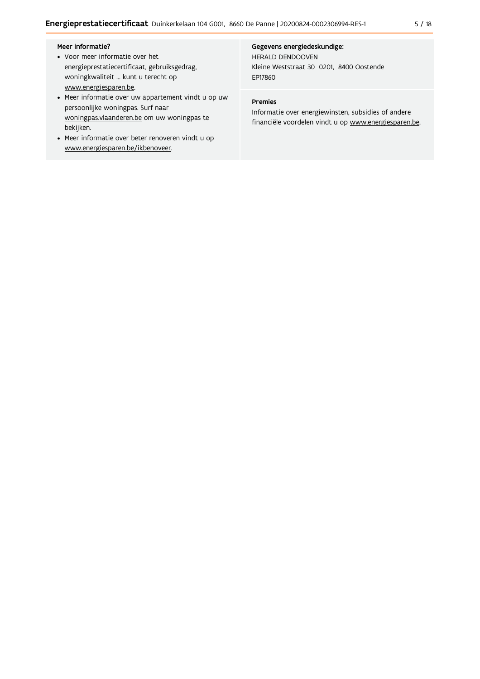### Meer informatie?

- Voor meer informatie over het energieprestatiecertificaat, gebruiksgedrag, woningkwaliteit ... kunt u terecht op www.energiesparen.be.
- Meer informatie over uw appartement vindt u op uw persoonlijke woningpas. Surf naar woningpas.vlaanderen.be om uw woningpas te bekijken.
- Meer informatie over beter renoveren vindt u op www.energiesparen.be/ikbenoveer.

#### Gegevens energiedeskundige:

HERALD DENDOOVEN Kleine Weststraat 30 0201, 8400 Oostende EP17860

# Premies

Informatie over energiewinsten, subsidies of andere financiële voordelen vindt u op www.energiesparen.be.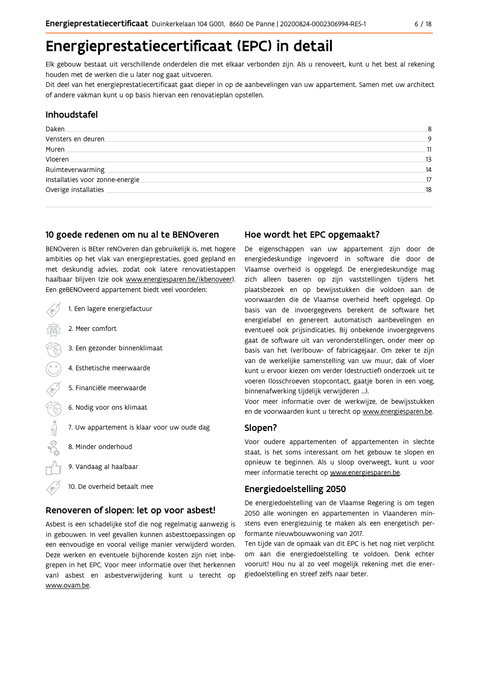# Energieprestatiecertificaat (EPC) in detail

Elk gebouw bestaat uit verschillende onderdelen die met elkaar verbonden zijn. Als u renoveert, kunt u het best al rekening houden met de werken die u later nog gaat uitvoeren.

Dit deel van het energieprestatiecertificaat gaat dieper in op de aanbevelingen van uw appartement. Samen met uw architect of andere vakman kunt u op basis hiervan een renovatieplan opstellen.

# Inhoudstafel

| Daken                            | 8  |
|----------------------------------|----|
| Vensters en deuren               | 9  |
| Muren.                           | 11 |
| Vloeren                          | 13 |
| Ruimteverwarming                 | 14 |
| Installaties voor zonne-energie. | 17 |
| Overige installaties             | 18 |
|                                  |    |

# 10 goede redenen om nu al te BENOveren

BENOveren is BEter reNOveren dan gebruikelijk is, met hogere ambities op het vlak van energieprestaties, goed gepland en met deskundig advies, zodat ook latere renovatiestappen haalbaar blijven (zie ook www.energiesparen.be/ikbenoveer). Een geBENOveerd appartement biedt veel voordelen:

| 1. Een lagere energiefactuur                |
|---------------------------------------------|
| 2. Meer comfort                             |
| 3. Een gezonder binnenklimaat               |
| 4. Esthetische meerwaarde                   |
| 5. Financiële meerwaarde                    |
| 6. Nodig voor ons klimaat                   |
| 7. Uw appartement is klaar voor uw oude dag |
| 8. Minder onderhoud                         |
| 9. Vandaag al haalbaar                      |
| 10. De overheid betaalt mee                 |

### Renoveren of slopen: let op voor asbest!

Asbest is een schadelijke stof die nog regelmatig aanwezig is in gebouwen. In veel gevallen kunnen asbesttoepassingen op een eenvoudige en vooral veilige manier verwijderd worden. Deze werken en eventuele bijhorende kosten zijn niet inbegrepen in het EPC. Voor meer informatie over (het herkennen van) asbest en asbestverwijdering kunt u terecht op www.ovam.be.

# Hoe wordt het EPC opgemaakt?

De eigenschappen van uw appartement zijn door de energiedeskundige ingevoerd in software die door de Vlaamse overheid is opgelegd. De energiedeskundige mag zich alleen baseren op zijn vaststellingen tijdens het plaatsbezoek en op bewijsstukken die voldoen aan de voorwaarden die de Vlaamse overheid heeft opgelegd. Op basis van de invoergegevens berekent de software het energielabel en genereert automatisch aanbevelingen en eventueel ook prijsindicaties. Bij onbekende invoergegevens gaat de software uit van veronderstellingen, onder meer op basis van het (ver)bouw- of fabricagejaar. Om zeker te zijn van de werkelijke samenstelling van uw muur, dak of vloer kunt u ervoor kiezen om verder (destructief) onderzoek uit te voeren (losschroeven stopcontact, gaatje boren in een voeg, binnenafwerking tijdelijk verwijderen ...).

Voor meer informatie over de werkwijze, de bewijsstukken en de voorwaarden kunt u terecht op www.energiesparen.be.

## Slopen?

Voor oudere appartementen of appartementen in slechte staat, is het soms interessant om het gebouw te slopen en opnieuw te beginnen. Als u sloop overweegt, kunt u voor meer informatie terecht op www.energiesparen.be.

### **Energiedoelstelling 2050**

De energiedoelstelling van de Vlaamse Regering is om tegen 2050 alle woningen en appartementen in Vlaanderen minstens even energiezuinig te maken als een energetisch performante nieuwbouwwoning van 2017.

Ten tijde van de opmaak van dit EPC is het nog niet verplicht om aan die energiedoelstelling te voldoen. Denk echter vooruit! Hou nu al zo veel mogelijk rekening met die energiedoelstelling en streef zelfs naar beter.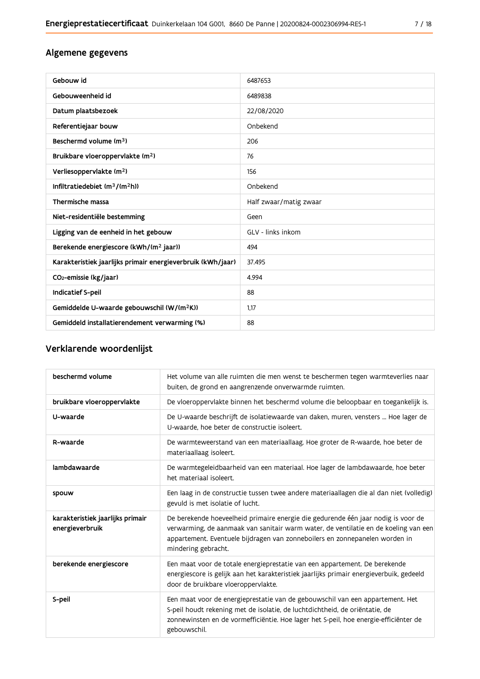| Gebouw id                                                   | 6487653                |
|-------------------------------------------------------------|------------------------|
| Gebouweenheid id                                            | 6489838                |
| Datum plaatsbezoek                                          | 22/08/2020             |
| Referentiejaar bouw                                         | Onbekend               |
| Beschermd volume (m <sup>3</sup> )                          | 206                    |
| Bruikbare vloeroppervlakte (m <sup>2</sup> )                | 76                     |
| Verliesoppervlakte (m <sup>2</sup> )                        | 156                    |
| Infiltratiedebiet $(m^3/(m^2h))$                            | Onbekend               |
| Thermische massa                                            | Half zwaar/matig zwaar |
| Niet-residentiële bestemming                                | Geen                   |
| Ligging van de eenheid in het gebouw                        | GLV - links inkom      |
| Berekende energiescore (kWh/(m <sup>2</sup> jaar))          | 494                    |
| Karakteristiek jaarlijks primair energieverbruik (kWh/jaar) | 37.495                 |
| CO <sub>2</sub> -emissie (kg/jaar)                          | 4.994                  |
| Indicatief S-peil                                           | 88                     |
| Gemiddelde U-waarde gebouwschil (W/(m <sup>2</sup> K))      | 1.17                   |
| Gemiddeld installatierendement verwarming (%)               | 88                     |

# Verklarende woordenlijst

| beschermd volume                                    | Het volume van alle ruimten die men wenst te beschermen tegen warmteverlies naar<br>buiten, de grond en aangrenzende onverwarmde ruimten.                                                                                                                                      |
|-----------------------------------------------------|--------------------------------------------------------------------------------------------------------------------------------------------------------------------------------------------------------------------------------------------------------------------------------|
| bruikbare vloeroppervlakte                          | De vloeroppervlakte binnen het beschermd volume die beloopbaar en toegankelijk is.                                                                                                                                                                                             |
| U-waarde                                            | De U-waarde beschrijft de isolatiewaarde van daken, muren, vensters  Hoe lager de<br>U-waarde, hoe beter de constructie isoleert.                                                                                                                                              |
| R-waarde                                            | De warmteweerstand van een materiaallaag. Hoe groter de R-waarde, hoe beter de<br>materiaallaag isoleert.                                                                                                                                                                      |
| lambdawaarde                                        | De warmtegeleidbaarheid van een materiaal. Hoe lager de lambdawaarde, hoe beter<br>het materiaal isoleert.                                                                                                                                                                     |
| spouw                                               | Een laag in de constructie tussen twee andere materiaallagen die al dan niet (volledig)<br>gevuld is met isolatie of lucht.                                                                                                                                                    |
| karakteristiek jaarlijks primair<br>energieverbruik | De berekende hoeveelheid primaire energie die gedurende één jaar nodig is voor de<br>verwarming, de aanmaak van sanitair warm water, de ventilatie en de koeling van een<br>appartement. Eventuele bijdragen van zonneboilers en zonnepanelen worden in<br>mindering gebracht. |
| berekende energiescore                              | Een maat voor de totale energieprestatie van een appartement. De berekende<br>energiescore is gelijk aan het karakteristiek jaarlijks primair energieverbuik, gedeeld<br>door de bruikbare vloeroppervlakte.                                                                   |
| S-peil                                              | Een maat voor de energieprestatie van de gebouwschil van een appartement. Het<br>S-peil houdt rekening met de isolatie, de luchtdichtheid, de oriëntatie, de<br>zonnewinsten en de vormefficiëntie. Hoe lager het S-peil, hoe energie-efficiënter de<br>gebouwschil.           |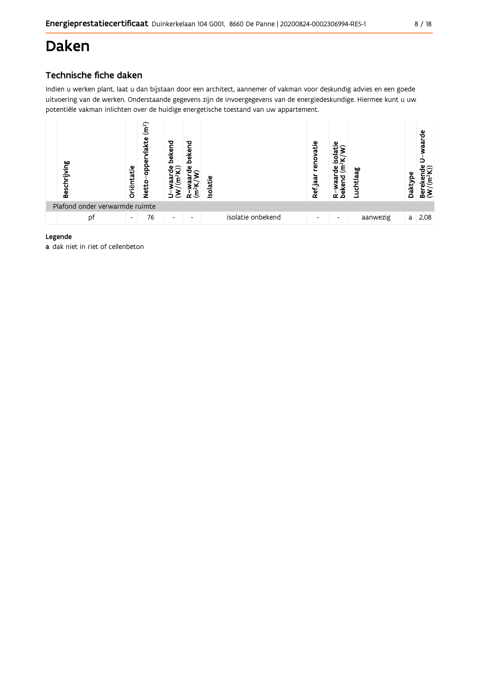# **Daken**

# Technische fiche daken

Indien u werken plant, laat u dan bijstaan door een architect, aannemer of vakman voor deskundig advies en een goede uitvoering van de werken. Onderstaande gegevens zijn de invoergegevens van de energiedeskundige. Hiermee kunt u uw potentiële vakman inlichten over de huidige energetische toestand van uw appartement.



# Legende

a dak niet in riet of cellenbeton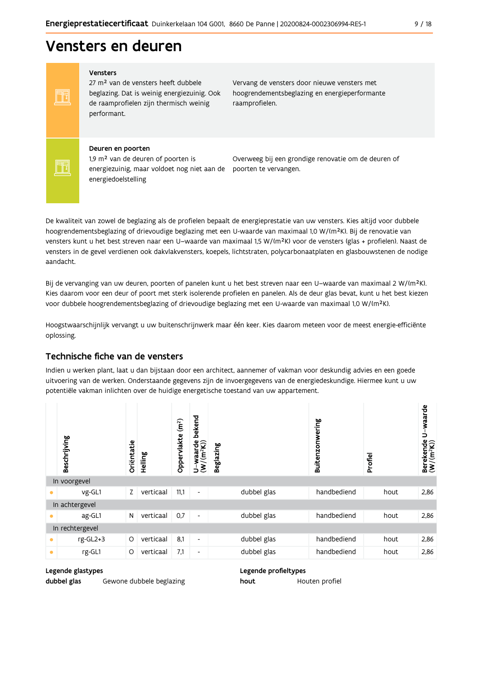# Vensters en deuren

Vensters

FF

FF

27 m<sup>2</sup> van de vensters heeft dubbele beglazing. Dat is weinig energiezuinig. Ook de raamprofielen zijn thermisch weinig performant.

Vervang de vensters door nieuwe vensters met hoogrendementsbeglazing en energieperformante raamprofielen.

#### Deuren en poorten

1,9 m<sup>2</sup> van de deuren of poorten is energiezuinig, maar voldoet nog niet aan de poorten te vervangen. energiedoelstelling

Overweeg bij een grondige renovatie om de deuren of

De kwaliteit van zowel de beglazing als de profielen bepaalt de energieprestatie van uw vensters. Kies altijd voor dubbele hoogrendementsbeglazing of drievoudige beglazing met een U-waarde van maximaal 1,0 W/(m<sup>2</sup>K). Bij de renovatie van vensters kunt u het best streven naar een U-waarde van maximaal 1,5 W/(m<sup>2</sup>K) voor de vensters (glas + profielen). Naast de vensters in de gevel verdienen ook dakvlakvensters, koepels, lichtstraten, polycarbonaatplaten en glasbouwstenen de nodige aandacht.

Bij de vervanging van uw deuren, poorten of panelen kunt u het best streven naar een U-waarde van maximaal 2 W/(m<sup>2</sup>K). Kies daarom voor een deur of poort met sterk isolerende profielen en panelen. Als de deur glas bevat, kunt u het best kiezen voor dubbele hoogrendementsbeglazing of drievoudige beglazing met een U-waarde van maximaal 1,0 W/(m<sup>2</sup>K).

Hoogstwaarschijnlijk vervangt u uw buitenschrijnwerk maar één keer. Kies daarom meteen voor de meest energie-efficiënte oplossing.

# Technische fiche van de vensters

Indien u werken plant, laat u dan bijstaan door een architect, aannemer of vakman voor deskundig advies en een goede uitvoering van de werken. Onderstaande gegevens zijn de invoergegevens van de energiedeskundige. Hiermee kunt u uw potentiële vakman inlichten over de huidige energetische toestand van uw appartement.

|   | Beschrijving    | Oriëntatie | Helling   | (m <sup>2</sup> )<br>Oppervlakte | bekend<br>$\frac{w}{(m^2K)}$<br>waa<br>$\dot{\epsilon}$<br>Б | <b>Beglazing</b> | Buitenzonwering | Profiel | U waarde<br>$\begin{array}{ll}\text{Berekende} \\\text{(W/(m²K))}\end{array}$ |
|---|-----------------|------------|-----------|----------------------------------|--------------------------------------------------------------|------------------|-----------------|---------|-------------------------------------------------------------------------------|
|   | In voorgevel    |            |           |                                  |                                                              |                  |                 |         |                                                                               |
|   | vg-GL1          | Z          | verticaal | 11,1                             | $\blacksquare$                                               | dubbel glas      | handbediend     | hout    | 2,86                                                                          |
|   | In achtergevel  |            |           |                                  |                                                              |                  |                 |         |                                                                               |
|   | ag-GL1          | N          | verticaal | 0,7                              | $\overline{\phantom{a}}$                                     | dubbel glas      | handbediend     | hout    | 2,86                                                                          |
|   | In rechtergevel |            |           |                                  |                                                              |                  |                 |         |                                                                               |
| ٠ | rg-GL2+3        | $\circ$    | verticaal | 8,1                              | $\overline{\phantom{a}}$                                     | dubbel glas      | handbediend     | hout    | 2,86                                                                          |
| ٠ | rg-GL1          | O          | verticaal | 7,1                              | $\overline{\phantom{a}}$                                     | dubbel glas      | handbediend     | hout    | 2,86                                                                          |

### Legende glastypes

dubbel glas

Gewone dubbele beglazing

Legende profieltypes

hout Houten profiel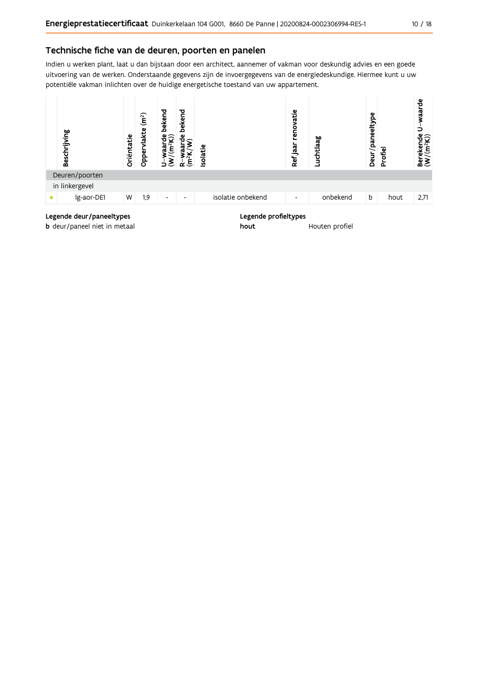# Technische fiche van de deuren, poorten en panelen

Indien u werken plant, laat u dan bijstaan door een architect, aannemer of vakman voor deskundig advies en een goede uitvoering van de werken. Onderstaande gegevens zijn de invoergegevens van de energiedeskundige. Hiermee kunt u uw potentiële vakman inlichten over de huidige energetische toestand van uw appartement.



**b** deur/paneel niet in metaal

Houten profiel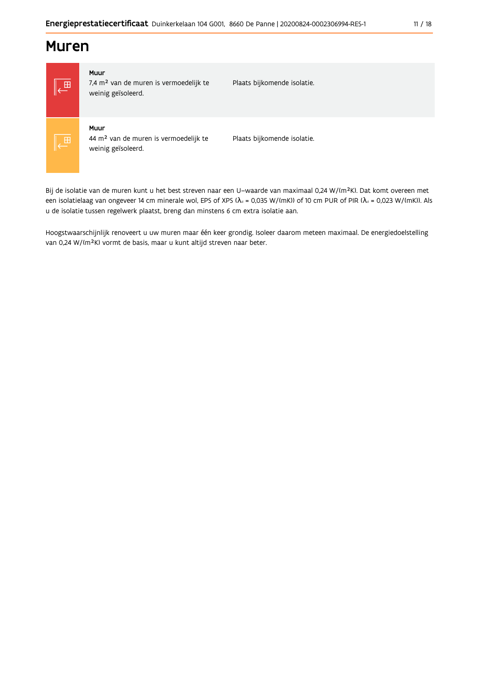# **Muren**



### Muur

7,4 m<sup>2</sup> van de muren is vermoedelijk te weinig geïsoleerd.

Plaats bijkomende isolatie.

# Muur

44 m<sup>2</sup> van de muren is vermoedelijk te weinig geïsoleerd.

Plaats bijkomende isolatie.

Bij de isolatie van de muren kunt u het best streven naar een U-waarde van maximaal 0,24 W/(m<sup>2</sup>K). Dat komt overeen met een isolatielaag van ongeveer 14 cm minerale wol, EPS of XPS ( $\lambda_a$  = 0,035 W/(mK)) of 10 cm PUR of PIR ( $\lambda_a$  = 0,023 W/(mK)). Als u de isolatie tussen regelwerk plaatst, breng dan minstens 6 cm extra isolatie aan.

Hoogstwaarschijnlijk renoveert u uw muren maar één keer grondig. Isoleer daarom meteen maximaal. De energiedoelstelling van 0,24 W/(m<sup>2</sup>K) vormt de basis, maar u kunt altijd streven naar beter.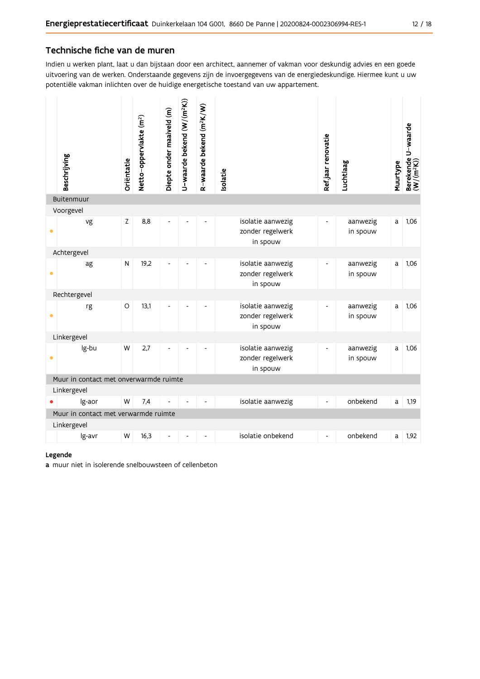# Technische fiche van de muren

Indien u werken plant, laat u dan bijstaan door een architect, aannemer of vakman voor deskundig advies en een goede uitvoering van de werken. Onderstaande gegevens zijn de invoergegevens van de energiedeskundige. Hiermee kunt u uw potentiële vakman inlichten over de huidige energetische toestand van uw appartement.

|                                        | Beschrijving                                        | Oriëntatie | Netto-oppervlakte (m <sup>2</sup> ) | Diepte onder maaiveld (m) | U-waarde bekend (W/(m <sup>2</sup> K)) | R-waarde bekend (m <sup>2</sup> K/W) | solatie                                           | Ref jaar renovatie           | Luchtlaag            | Muurtype | Berekende U-waarde<br>(W/(m <sup>2</sup> K)) |
|----------------------------------------|-----------------------------------------------------|------------|-------------------------------------|---------------------------|----------------------------------------|--------------------------------------|---------------------------------------------------|------------------------------|----------------------|----------|----------------------------------------------|
|                                        | Buitenmuur                                          |            |                                     |                           |                                        |                                      |                                                   |                              |                      |          |                                              |
| $\bullet$                              | Voorgevel<br>vg                                     | Z          | 8,8                                 |                           |                                        |                                      | isolatie aanwezig<br>zonder regelwerk<br>in spouw | $\overline{\phantom{a}}$     | aanwezig<br>in spouw | a        | 1,06                                         |
|                                        | Achtergevel                                         |            |                                     |                           |                                        |                                      |                                                   |                              |                      |          |                                              |
| $\bullet$                              | ag                                                  | N          | 19,2                                |                           |                                        |                                      | isolatie aanwezig<br>zonder regelwerk<br>in spouw |                              | aanwezig<br>in spouw | a        | 1,06                                         |
|                                        | Rechtergevel                                        |            |                                     |                           |                                        |                                      |                                                   |                              |                      |          |                                              |
| ۰                                      | rg                                                  | O          | 13,1                                |                           |                                        |                                      | isolatie aanwezig<br>zonder regelwerk<br>in spouw | $\overline{\phantom{a}}$     | aanwezig<br>in spouw | a        | 1,06                                         |
|                                        | Linkergevel                                         |            |                                     |                           |                                        |                                      |                                                   |                              |                      |          |                                              |
| ٠                                      | lg-bu                                               | W          | 2,7                                 |                           |                                        |                                      | isolatie aanwezig<br>zonder regelwerk<br>in spouw | $\blacksquare$               | aanwezig<br>in spouw | a        | 1,06                                         |
| Muur in contact met onverwarmde ruimte |                                                     |            |                                     |                           |                                        |                                      |                                                   |                              |                      |          |                                              |
|                                        | Linkergevel                                         |            |                                     |                           |                                        |                                      |                                                   |                              |                      |          |                                              |
|                                        | Ig-aor                                              | W          | 7,4                                 |                           |                                        |                                      | isolatie aanwezig                                 | $\qquad \qquad \blacksquare$ | onbekend             | a        | 1,19                                         |
|                                        | Muur in contact met verwarmde ruimte<br>Linkergevel |            |                                     |                           |                                        |                                      |                                                   |                              |                      |          |                                              |
|                                        | lg-avr                                              | W          | 16,3                                |                           |                                        |                                      | isolatie onbekend                                 | $\blacksquare$               | onbekend             | a        | 1,92                                         |

### Legende

a muur niet in isolerende snelbouwsteen of cellenbeton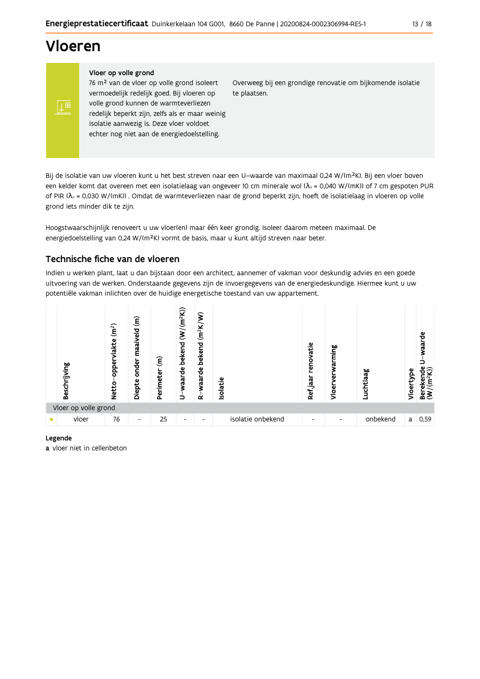# **Vloeren**

∣ ⊥⊞

### Vloer op volle grond

76 m<sup>2</sup> van de vloer op volle grond isoleert vermoedelijk redelijk goed. Bij vloeren op volle grond kunnen de warmteverliezen redelijk beperkt zijn, zelfs als er maar weinig isolatie aanwezig is. Deze vloer voldoet echter nog niet aan de energiedoelstelling.

Overweeg bij een grondige renovatie om bijkomende isolatie te plaatsen.

Bij de isolatie van uw vloeren kunt u het best streven naar een U-waarde van maximaal 0,24 W/(m<sup>2</sup>K). Bij een vloer boven een kelder komt dat overeen met een isolatielaag van ongeveer 10 cm minerale wol ( $\lambda_d$  = 0,040 W/(mK)) of 7 cm gespoten PUR of PIR ( $\lambda_4$  = 0,030 W/(mK)). Omdat de warmteverliezen naar de grond beperkt zijn, hoeft de isolatielaag in vloeren op volle grond iets minder dik te zijn.

Hoogstwaarschijnlijk renoveert u uw vloer(en) maar één keer grondig. Isoleer daarom meteen maximaal. De energiedoelstelling van 0,24 W/(m<sup>2</sup>K) vormt de basis, maar u kunt altijd streven naar beter.

# Technische fiche van de vloeren

Indien u werken plant, laat u dan bijstaan door een architect, aannemer of vakman voor deskundig advies en een goede uitvoering van de werken. Onderstaande gegevens zijn de invoergegevens van de energiedeskundige. Hiermee kunt u uw potentiële vakman inlichten over de huidige energetische toestand van uw appartement.



### Legende

a vloer niet in cellenbeton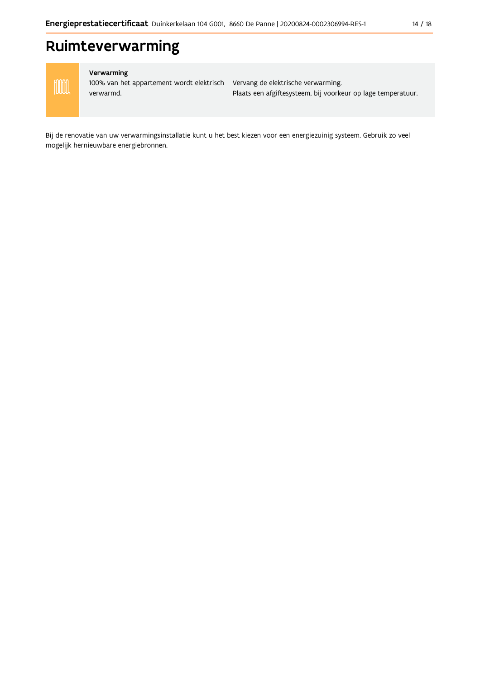# Ruimteverwarming



### Verwarming

100% van het appartement wordt elektrisch Vervang de elektrische verwarming. verwarmd.

Plaats een afgiftesysteem, bij voorkeur op lage temperatuur.

Bij de renovatie van uw verwarmingsinstallatie kunt u het best kiezen voor een energiezuinig systeem. Gebruik zo veel mogelijk hernieuwbare energiebronnen.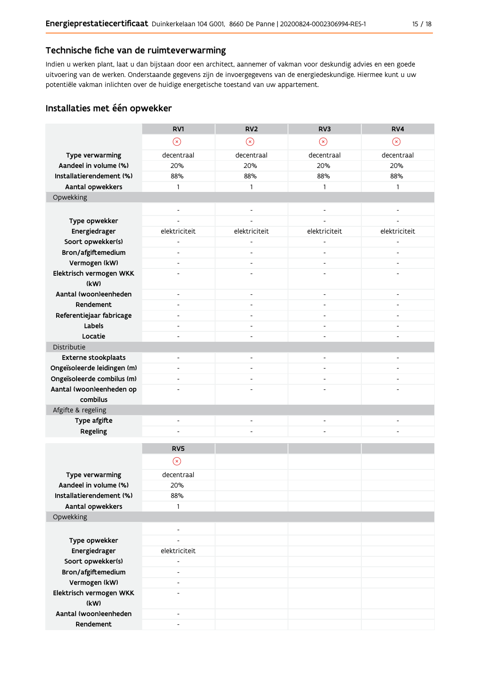# Technische fiche van de ruimteverwarming

Indien u werken plant, laat u dan bijstaan door een architect, aannemer of vakman voor deskundig advies en een goede uitvoering van de werken. Onderstaande gegevens zijn de invoergegevens van de energiedeskundige. Hiermee kunt u uw potentiële vakman inlichten over de huidige energetische toestand van uw appartement.

# Installaties met één opwekker

|                                 | RV1                          | RV <sub>2</sub>              | RV3                      | RV4                      |
|---------------------------------|------------------------------|------------------------------|--------------------------|--------------------------|
|                                 | $\odot$                      | $\odot$                      | $\odot$                  | $\odot$                  |
| Type verwarming                 | decentraal                   | decentraal                   | decentraal               | decentraal               |
| Aandeel in volume (%)           | 20%                          | 20%                          | 20%                      | 20%                      |
| Installatierendement (%)        | 88%                          | 88%                          | 88%                      | 88%                      |
| Aantal opwekkers                | $\mathbf{1}$                 | $\mathbf{1}$                 | $\mathbf{1}$             | $\mathbf{1}$             |
| Opwekking                       |                              |                              |                          |                          |
|                                 | $\overline{\phantom{a}}$     | $\overline{\phantom{a}}$     | $\overline{\phantom{a}}$ |                          |
| Type opwekker                   | $\overline{a}$               | $\overline{a}$               | $\overline{a}$           |                          |
| Energiedrager                   | elektriciteit                | elektriciteit                | elektriciteit            | elektriciteit            |
| Soort opwekker(s)               | $\overline{a}$               | $\overline{\phantom{0}}$     | $\overline{a}$           |                          |
| Bron/afgiftemedium              | $\overline{\phantom{a}}$     | $\overline{a}$               | $\overline{a}$           |                          |
| Vermogen (kW)                   | $\overline{\phantom{a}}$     | $\overline{\phantom{a}}$     | $\overline{\phantom{a}}$ | $\overline{\phantom{a}}$ |
| Elektrisch vermogen WKK<br>(kW) |                              | $\overline{\phantom{a}}$     |                          |                          |
| Aantal (woon)eenheden           | $\overline{\phantom{a}}$     | $\overline{\phantom{a}}$     | $\overline{\phantom{a}}$ | $\overline{a}$           |
| Rendement                       | $\overline{\phantom{m}}$     | $\overline{\phantom{0}}$     | $\overline{a}$           |                          |
| Referentiejaar fabricage        | $\overline{\phantom{m}}$     | $\frac{1}{2}$                |                          |                          |
| Labels                          | $\overline{\phantom{a}}$     | $\overline{\phantom{a}}$     | $\blacksquare$           | $\overline{\phantom{0}}$ |
| Locatie                         | $\overline{a}$               | $\overline{\phantom{0}}$     | $\overline{a}$           |                          |
| Distributie                     |                              |                              |                          |                          |
| Externe stookplaats             | $\overline{\phantom{m}}$     | $\qquad \qquad \blacksquare$ | $\overline{\phantom{a}}$ |                          |
| Ongeïsoleerde leidingen (m)     | $\overline{a}$               | $\overline{a}$               |                          |                          |
| Ongeïsoleerde combilus (m)      | $\overline{\phantom{a}}$     | $\frac{1}{2}$                | $\overline{\phantom{a}}$ |                          |
| Aantal (woon)eenheden op        |                              |                              |                          |                          |
| combilus                        |                              |                              |                          |                          |
| Afgifte & regeling              |                              |                              |                          |                          |
| Type afgifte                    | $\overline{\phantom{a}}$     | $\overline{\phantom{0}}$     |                          |                          |
| Regeling                        | $\overline{a}$               | L,                           | $\overline{a}$           |                          |
|                                 |                              |                              |                          |                          |
|                                 | RV <sub>5</sub>              |                              |                          |                          |
|                                 | $\odot$                      |                              |                          |                          |
| Type verwarming                 | decentraal                   |                              |                          |                          |
| Aandeel in volume (%)           | 20%                          |                              |                          |                          |
| Installatierendement (%)        | 88%                          |                              |                          |                          |
| Aantal opwekkers                | 1                            |                              |                          |                          |
| Opwekking                       |                              |                              |                          |                          |
|                                 | $\qquad \qquad \blacksquare$ |                              |                          |                          |
| Type opwekker                   | ÷,                           |                              |                          |                          |
| Energiedrager                   | elektriciteit                |                              |                          |                          |
| Soort opwekker(s)               | $\blacksquare$               |                              |                          |                          |
| Bron/afgiftemedium              | $\overline{\phantom{m}}$     |                              |                          |                          |
| Vermogen (kW)                   | $\blacksquare$               |                              |                          |                          |
| Elektrisch vermogen WKK         | $\overline{a}$               |                              |                          |                          |
| (kW)                            |                              |                              |                          |                          |
| Aantal (woon)eenheden           | $\overline{\phantom{a}}$     |                              |                          |                          |
| Rendement                       |                              |                              |                          |                          |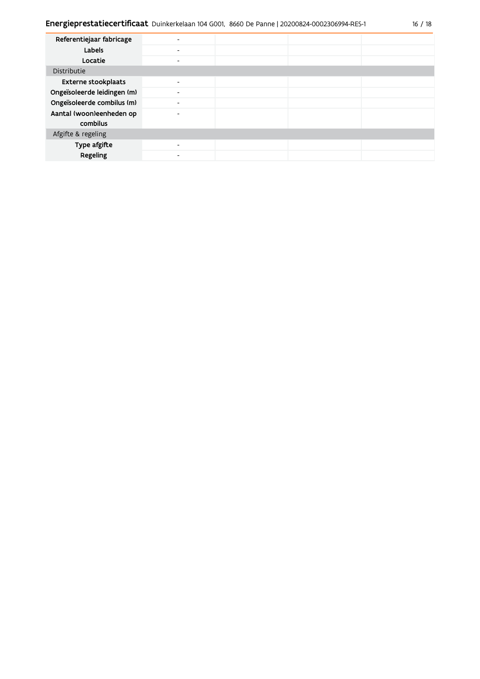| Referentiejaar fabricage    |                          |  |  |
|-----------------------------|--------------------------|--|--|
| Labels                      | $\overline{\phantom{a}}$ |  |  |
| Locatie                     | $\overline{\phantom{0}}$ |  |  |
| Distributie                 |                          |  |  |
| <b>Externe stookplaats</b>  | $\overline{\phantom{0}}$ |  |  |
| Ongeïsoleerde leidingen (m) | $\overline{\phantom{a}}$ |  |  |
| Ongeïsoleerde combilus (m)  | $\overline{\phantom{0}}$ |  |  |
| Aantal (woon)eenheden op    | $\overline{\phantom{0}}$ |  |  |
| combilus                    |                          |  |  |
| Afgifte & regeling          |                          |  |  |
| Type afgifte                | $\overline{\phantom{a}}$ |  |  |
| Regeling                    | ٠                        |  |  |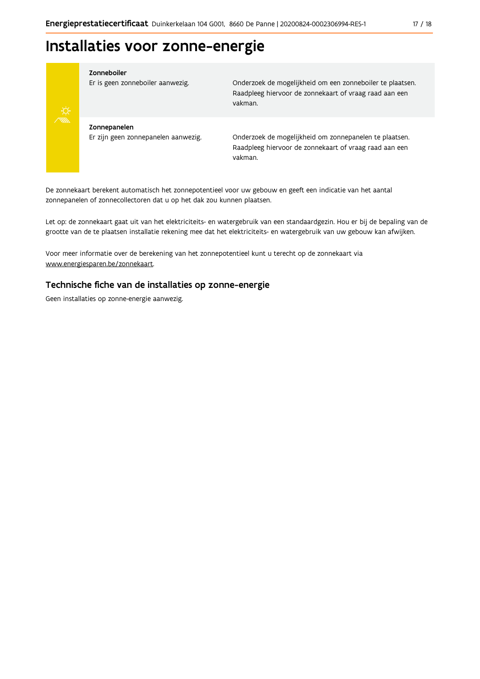# Installaties voor zonne-energie



#### Zonneboiler

Er is geen zonneboiler aanwezig.

Onderzoek de mogelijkheid om een zonneboiler te plaatsen. Raadpleeg hiervoor de zonnekaart of vraag raad aan een vakman.

Zonnepanelen Er zijn geen zonnepanelen aanwezig.

Onderzoek de mogelijkheid om zonnepanelen te plaatsen. Raadpleeg hiervoor de zonnekaart of vraag raad aan een vakman.

De zonnekaart berekent automatisch het zonnepotentieel voor uw gebouw en geeft een indicatie van het aantal zonnepanelen of zonnecollectoren dat u op het dak zou kunnen plaatsen.

Let op: de zonnekaart gaat uit van het elektriciteits- en watergebruik van een standaardgezin. Hou er bij de bepaling van de grootte van de te plaatsen installatie rekening mee dat het elektriciteits- en watergebruik van uw gebouw kan afwijken.

Voor meer informatie over de berekening van het zonnepotentieel kunt u terecht op de zonnekaart via www.energiesparen.be/zonnekaart.

# Technische fiche van de installaties op zonne-energie

Geen installaties op zonne-energie aanwezig.